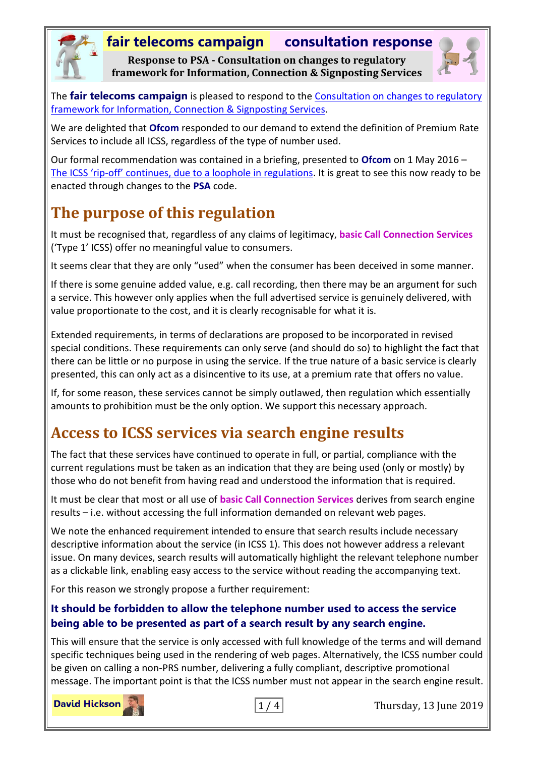# **fair telecoms campaign consultation response**

**Response to PSA - Consultation on changes to regulatory framework for Information, Connection & Signposting Services**



The **fair telecoms campaign** is pleased to respond to the [Consultation on changes to regulatory](https://psauthority.org.uk/-/media/Files/PSA/00NEW-website/Research-and-consultations/Consultations/2019/ICSS-consultation/ICSS-consultation-edited-on-03-05-2019.ashx)  [framework for Information, Connection &](https://psauthority.org.uk/-/media/Files/PSA/00NEW-website/Research-and-consultations/Consultations/2019/ICSS-consultation/ICSS-consultation-edited-on-03-05-2019.ashx) Signposting Services.

We are delighted that **Ofcom** responded to our demand to extend the definition of Premium Rate Services to include all ICSS, regardless of the type of number used.

Our formal recommendation was contained in a briefing, presented to **Ofcom** on 1 May 2016 – The ICSS 'rip-[off' continues, due to a loophole in regulations](http://www.fairtelecoms.org.uk/docs.html?icss1605). It is great to see this now ready to be enacted through changes to the **PSA** code.

# **The purpose of this regulation**

It must be recognised that, regardless of any claims of legitimacy, **basic Call Connection Services** ('Type 1' ICSS) offer no meaningful value to consumers.

It seems clear that they are only "used" when the consumer has been deceived in some manner.

If there is some genuine added value, e.g. call recording, then there may be an argument for such a service. This however only applies when the full advertised service is genuinely delivered, with value proportionate to the cost, and it is clearly recognisable for what it is.

Extended requirements, in terms of declarations are proposed to be incorporated in revised special conditions. These requirements can only serve (and should do so) to highlight the fact that there can be little or no purpose in using the service. If the true nature of a basic service is clearly presented, this can only act as a disincentive to its use, at a premium rate that offers no value.

If, for some reason, these services cannot be simply outlawed, then regulation which essentially amounts to prohibition must be the only option. We support this necessary approach.

# **Access to ICSS services via search engine results**

The fact that these services have continued to operate in full, or partial, compliance with the current regulations must be taken as an indication that they are being used (only or mostly) by those who do not benefit from having read and understood the information that is required.

It must be clear that most or all use of **basic Call Connection Services** derives from search engine results – i.e. without accessing the full information demanded on relevant web pages.

We note the enhanced requirement intended to ensure that search results include necessary descriptive information about the service (in ICSS 1). This does not however address a relevant issue. On many devices, search results will automatically highlight the relevant telephone number as a clickable link, enabling easy access to the service without reading the accompanying text.

For this reason we strongly propose a further requirement:

#### **It should be forbidden to allow the telephone number used to access the service being able to be presented as part of a search result by any search engine.**

This will ensure that the service is only accessed with full knowledge of the terms and will demand specific techniques being used in the rendering of web pages. Alternatively, the ICSS number could be given on calling a non-PRS number, delivering a fully compliant, descriptive promotional message. The important point is that the ICSS number must not appear in the search engine result.

**David Hickson** 



1 / 4 Thursday, 13 June 2019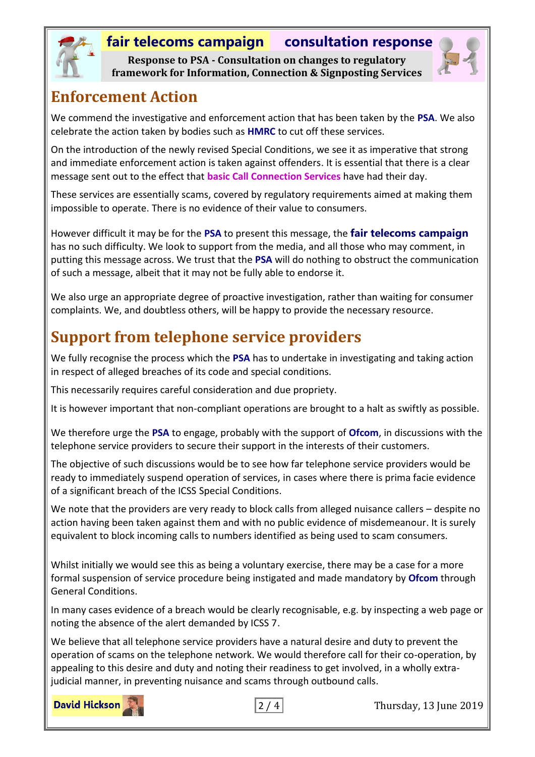

### **fair telecoms campaign consultation response**

**Response to PSA - Consultation on changes to regulatory framework for Information, Connection & Signposting Services**



#### **Enforcement Action**

We commend the investigative and enforcement action that has been taken by the **PSA**. We also celebrate the action taken by bodies such as **HMRC** to cut off these services.

On the introduction of the newly revised Special Conditions, we see it as imperative that strong and immediate enforcement action is taken against offenders. It is essential that there is a clear message sent out to the effect that **basic Call Connection Services** have had their day.

These services are essentially scams, covered by regulatory requirements aimed at making them impossible to operate. There is no evidence of their value to consumers.

However difficult it may be for the **PSA** to present this message, the **fair telecoms campaign** has no such difficulty. We look to support from the media, and all those who may comment, in putting this message across. We trust that the **PSA** will do nothing to obstruct the communication of such a message, albeit that it may not be fully able to endorse it.

We also urge an appropriate degree of proactive investigation, rather than waiting for consumer complaints. We, and doubtless others, will be happy to provide the necessary resource.

## **Support from telephone service providers**

We fully recognise the process which the **PSA** has to undertake in investigating and taking action in respect of alleged breaches of its code and special conditions.

This necessarily requires careful consideration and due propriety.

It is however important that non-compliant operations are brought to a halt as swiftly as possible.

We therefore urge the **PSA** to engage, probably with the support of **Ofcom**, in discussions with the telephone service providers to secure their support in the interests of their customers.

The objective of such discussions would be to see how far telephone service providers would be ready to immediately suspend operation of services, in cases where there is prima facie evidence of a significant breach of the ICSS Special Conditions.

We note that the providers are very ready to block calls from alleged nuisance callers - despite no action having been taken against them and with no public evidence of misdemeanour. It is surely equivalent to block incoming calls to numbers identified as being used to scam consumers.

Whilst initially we would see this as being a voluntary exercise, there may be a case for a more formal suspension of service procedure being instigated and made mandatory by **Ofcom** through General Conditions.

In many cases evidence of a breach would be clearly recognisable, e.g. by inspecting a web page or noting the absence of the alert demanded by ICSS 7.

We believe that all telephone service providers have a natural desire and duty to prevent the operation of scams on the telephone network. We would therefore call for their co-operation, by appealing to this desire and duty and noting their readiness to get involved, in a wholly extrajudicial manner, in preventing nuisance and scams through outbound calls.

**David Hickson** 



2 / 4 Thursday, 13 June 2019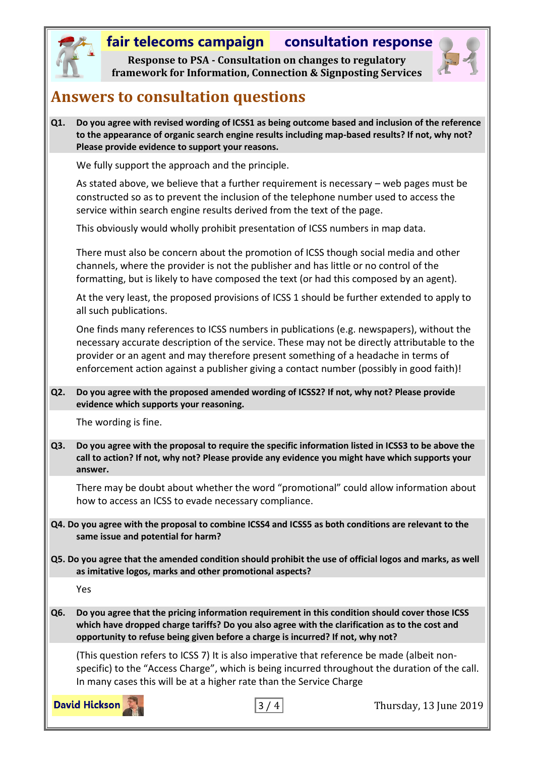#### **fair telecoms campaign consultation response**

**Response to PSA - Consultation on changes to regulatory framework for Information, Connection & Signposting Services**



#### **Answers to consultation questions**

**Q1. Do you agree with revised wording of ICSS1 as being outcome based and inclusion of the reference to the appearance of organic search engine results including map-based results? If not, why not? Please provide evidence to support your reasons.**

We fully support the approach and the principle.

As stated above, we believe that a further requirement is necessary – web pages must be constructed so as to prevent the inclusion of the telephone number used to access the service within search engine results derived from the text of the page.

This obviously would wholly prohibit presentation of ICSS numbers in map data.

There must also be concern about the promotion of ICSS though social media and other channels, where the provider is not the publisher and has little or no control of the formatting, but is likely to have composed the text (or had this composed by an agent).

At the very least, the proposed provisions of ICSS 1 should be further extended to apply to all such publications.

One finds many references to ICSS numbers in publications (e.g. newspapers), without the necessary accurate description of the service. These may not be directly attributable to the provider or an agent and may therefore present something of a headache in terms of enforcement action against a publisher giving a contact number (possibly in good faith)!

**Q2. Do you agree with the proposed amended wording of ICSS2? If not, why not? Please provide evidence which supports your reasoning.**

The wording is fine.

**Q3. Do you agree with the proposal to require the specific information listed in ICSS3 to be above the call to action? If not, why not? Please provide any evidence you might have which supports your answer.**

There may be doubt about whether the word "promotional" could allow information about how to access an ICSS to evade necessary compliance.

**Q4. Do you agree with the proposal to combine ICSS4 and ICSS5 as both conditions are relevant to the same issue and potential for harm?**

**Q5. Do you agree that the amended condition should prohibit the use of official logos and marks, as well as imitative logos, marks and other promotional aspects?**

Yes

**Q6. Do you agree that the pricing information requirement in this condition should cover those ICSS which have dropped charge tariffs? Do you also agree with the clarification as to the cost and opportunity to refuse being given before a charge is incurred? If not, why not?**

(This question refers to ICSS 7) It is also imperative that reference be made (albeit nonspecific) to the "Access Charge", which is being incurred throughout the duration of the call. In many cases this will be at a higher rate than the Service Charge

**David Hickson** 



3 / 4 Thursday, 13 June 2019